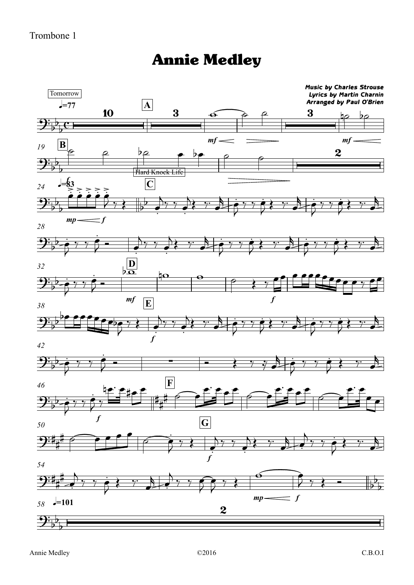## Annie Medley